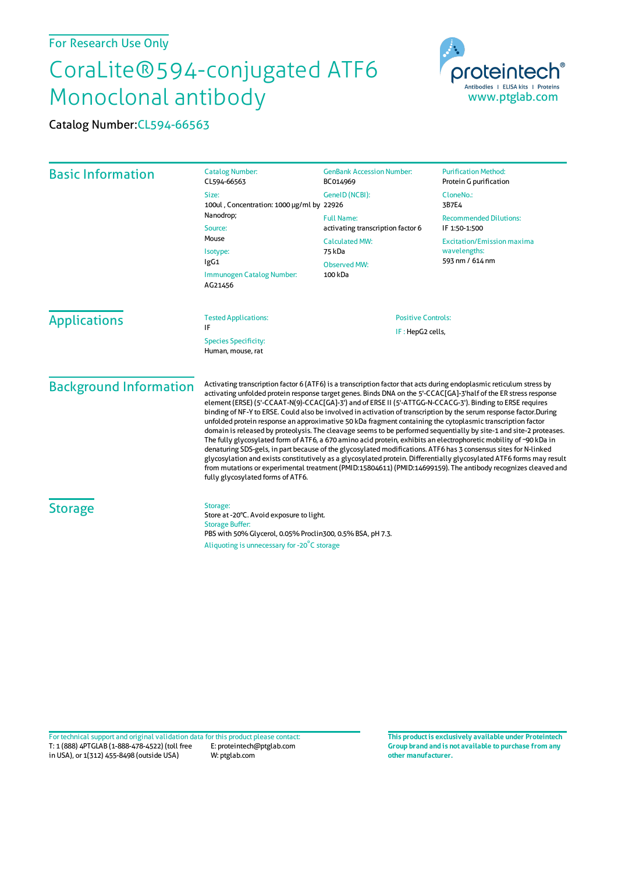## For Research Use Only

## CoraLite®594-conjugated ATF6 Monoclonal antibody

Catalog Number:CL594-66563



| <b>Basic Information</b> | <b>Catalog Number:</b><br>CL594-66563                                                                                                                                                       | <b>GenBank Accession Number:</b><br>BC014969                                                                                                  | <b>Purification Method:</b><br>Protein G purification                                                                                        |                               |                                                                                                                                                                                                                                                                                                                                                                                                                                                                                                                                                                                                                                                                                                                                                                                                                                                                                                                                                                                                                                                                                                                                                                                                                                      |                                               |  |
|--------------------------|---------------------------------------------------------------------------------------------------------------------------------------------------------------------------------------------|-----------------------------------------------------------------------------------------------------------------------------------------------|----------------------------------------------------------------------------------------------------------------------------------------------|-------------------------------|--------------------------------------------------------------------------------------------------------------------------------------------------------------------------------------------------------------------------------------------------------------------------------------------------------------------------------------------------------------------------------------------------------------------------------------------------------------------------------------------------------------------------------------------------------------------------------------------------------------------------------------------------------------------------------------------------------------------------------------------------------------------------------------------------------------------------------------------------------------------------------------------------------------------------------------------------------------------------------------------------------------------------------------------------------------------------------------------------------------------------------------------------------------------------------------------------------------------------------------|-----------------------------------------------|--|
|                          | Size:<br>100ul, Concentration: 1000 µg/ml by 22926<br>Nanodrop;<br>Source:<br>Mouse<br>Isotype:<br>lgG1<br>Immunogen Catalog Number:<br>AG21456                                             | GeneID (NCBI):<br><b>Full Name:</b><br>activating transcription factor 6<br><b>Calculated MW:</b><br>75 kDa<br><b>Observed MW:</b><br>100 kDa | CloneNo.:<br>3B7E4<br><b>Recommended Dilutions:</b><br>IF 1:50-1:500<br><b>Excitation/Emission maxima</b><br>wavelengths:<br>593 nm / 614 nm |                               |                                                                                                                                                                                                                                                                                                                                                                                                                                                                                                                                                                                                                                                                                                                                                                                                                                                                                                                                                                                                                                                                                                                                                                                                                                      |                                               |  |
|                          |                                                                                                                                                                                             |                                                                                                                                               |                                                                                                                                              | <b>Applications</b>           | <b>Tested Applications:</b><br>IF<br><b>Species Specificity:</b><br>Human, mouse, rat                                                                                                                                                                                                                                                                                                                                                                                                                                                                                                                                                                                                                                                                                                                                                                                                                                                                                                                                                                                                                                                                                                                                                | <b>Positive Controls:</b><br>IF: HepG2 cells, |  |
|                          |                                                                                                                                                                                             |                                                                                                                                               |                                                                                                                                              | <b>Background Information</b> | Activating transcription factor 6 (ATF6) is a transcription factor that acts during endoplasmic reticulum stress by<br>activating unfolded protein response target genes. Binds DNA on the 5'-CCAC[GA]-3'half of the ER stress response<br>element (ERSE) (5'-CCAAT-N(9)-CCAC[GA]-3') and of ERSE II (5'-ATTGG-N-CCACG-3'). Binding to ERSE requires<br>binding of NF-Y to ERSE. Could also be involved in activation of transcription by the serum response factor.During<br>unfolded protein response an approximative 50 kDa fragment containing the cytoplasmic transcription factor<br>domain is released by proteolysis. The cleavage seems to be performed sequentially by site-1 and site-2 proteases.<br>The fully glycosylated form of ATF6, a 670 amino acid protein, exhibits an electrophoretic mobility of ~90 kDa in<br>denaturing SDS-gels, in part because of the glycosylated modifications. ATF6 has 3 consensus sites for N-linked<br>glycosylation and exists constitutively as a glycosylated protein. Differentially glycosylated ATF6 forms may result<br>from mutations or experimental treatment (PMID:15804611) (PMID:14699159). The antibody recognizes cleaved and<br>fully glycosylated forms of ATF6. |                                               |  |
| <b>Storage</b>           | Storage:<br>Store at -20°C. Avoid exposure to light.<br><b>Storage Buffer:</b><br>PBS with 50% Glycerol, 0.05% Proclin300, 0.5% BSA, pH 7.3.<br>Aliquoting is unnecessary for -20°C storage |                                                                                                                                               |                                                                                                                                              |                               |                                                                                                                                                                                                                                                                                                                                                                                                                                                                                                                                                                                                                                                                                                                                                                                                                                                                                                                                                                                                                                                                                                                                                                                                                                      |                                               |  |

T: 1 (888) 4PTGLAB (1-888-478-4522) (toll free in USA), or 1(312) 455-8498 (outside USA) E: proteintech@ptglab.com W: ptglab.com Fortechnical support and original validation data forthis product please contact: **This productis exclusively available under Proteintech**

**Group brand and is not available to purchase from any other manufacturer.**